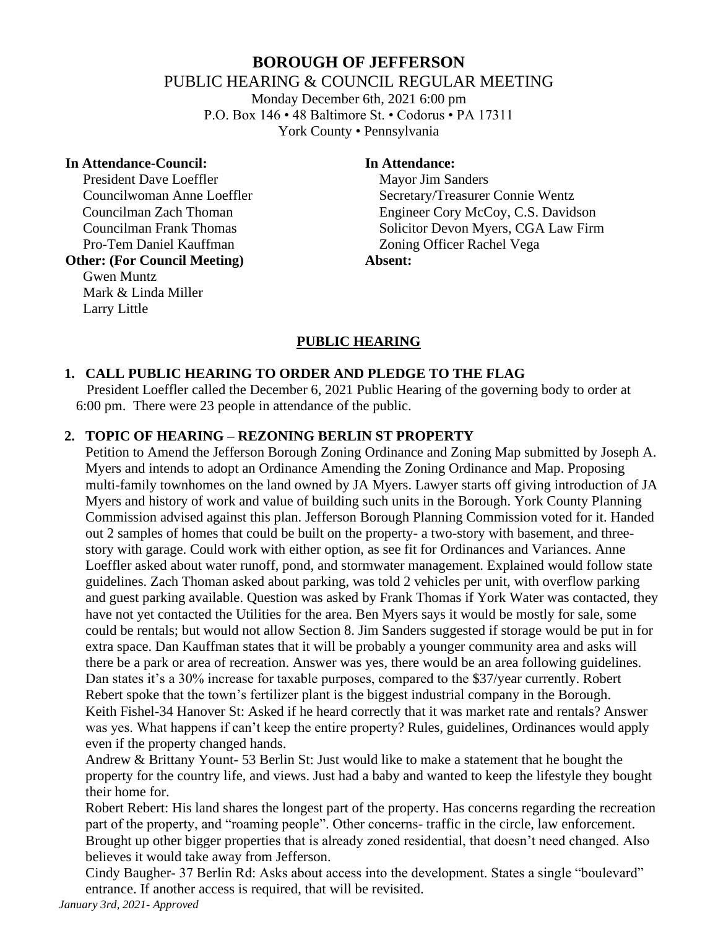# **BOROUGH OF JEFFERSON**

PUBLIC HEARING & COUNCIL REGULAR MEETING

Monday December 6th, 2021 6:00 pm P.O. Box 146 • 48 Baltimore St. • Codorus • PA 17311 York County • Pennsylvania

#### **In Attendance-Council: In Attendance:**

President Dave Loeffler Mayor Jim Sanders Pro-Tem Daniel Kauffman Zoning Officer Rachel Vega

# **Other: (For Council Meeting) Absent:**

Gwen Muntz Mark & Linda Miller Larry Little

Councilwoman Anne Loeffler Secretary/Treasurer Connie Wentz Councilman Zach Thoman Engineer Cory McCoy, C.S. Davidson Councilman Frank Thomas Solicitor Devon Myers, CGA Law Firm

### **PUBLIC HEARING**

#### **1. CALL PUBLIC HEARING TO ORDER AND PLEDGE TO THE FLAG**

 President Loeffler called the December 6, 2021 Public Hearing of the governing body to order at 6:00 pm. There were 23 people in attendance of the public.

#### **2. TOPIC OF HEARING – REZONING BERLIN ST PROPERTY**

Petition to Amend the Jefferson Borough Zoning Ordinance and Zoning Map submitted by Joseph A. Myers and intends to adopt an Ordinance Amending the Zoning Ordinance and Map. Proposing multi-family townhomes on the land owned by JA Myers. Lawyer starts off giving introduction of JA Myers and history of work and value of building such units in the Borough. York County Planning Commission advised against this plan. Jefferson Borough Planning Commission voted for it. Handed out 2 samples of homes that could be built on the property- a two-story with basement, and threestory with garage. Could work with either option, as see fit for Ordinances and Variances. Anne Loeffler asked about water runoff, pond, and stormwater management. Explained would follow state guidelines. Zach Thoman asked about parking, was told 2 vehicles per unit, with overflow parking and guest parking available. Question was asked by Frank Thomas if York Water was contacted, they have not yet contacted the Utilities for the area. Ben Myers says it would be mostly for sale, some could be rentals; but would not allow Section 8. Jim Sanders suggested if storage would be put in for extra space. Dan Kauffman states that it will be probably a younger community area and asks will there be a park or area of recreation. Answer was yes, there would be an area following guidelines. Dan states it's a 30% increase for taxable purposes, compared to the \$37/year currently. Robert Rebert spoke that the town's fertilizer plant is the biggest industrial company in the Borough. Keith Fishel-34 Hanover St: Asked if he heard correctly that it was market rate and rentals? Answer was yes. What happens if can't keep the entire property? Rules, guidelines, Ordinances would apply even if the property changed hands.

Andrew & Brittany Yount- 53 Berlin St: Just would like to make a statement that he bought the property for the country life, and views. Just had a baby and wanted to keep the lifestyle they bought their home for.

Robert Rebert: His land shares the longest part of the property. Has concerns regarding the recreation part of the property, and "roaming people". Other concerns- traffic in the circle, law enforcement. Brought up other bigger properties that is already zoned residential, that doesn't need changed. Also believes it would take away from Jefferson.

Cindy Baugher- 37 Berlin Rd: Asks about access into the development. States a single "boulevard" entrance. If another access is required, that will be revisited.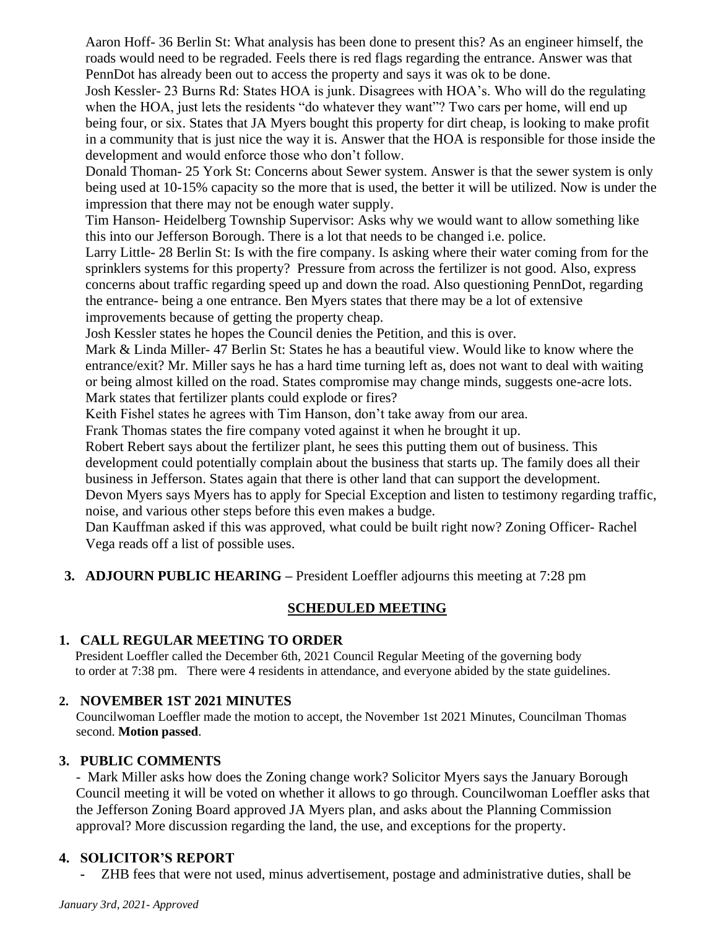Aaron Hoff- 36 Berlin St: What analysis has been done to present this? As an engineer himself, the roads would need to be regraded. Feels there is red flags regarding the entrance. Answer was that PennDot has already been out to access the property and says it was ok to be done.

Josh Kessler- 23 Burns Rd: States HOA is junk. Disagrees with HOA's. Who will do the regulating when the HOA, just lets the residents "do whatever they want"? Two cars per home, will end up being four, or six. States that JA Myers bought this property for dirt cheap, is looking to make profit in a community that is just nice the way it is. Answer that the HOA is responsible for those inside the development and would enforce those who don't follow.

Donald Thoman- 25 York St: Concerns about Sewer system. Answer is that the sewer system is only being used at 10-15% capacity so the more that is used, the better it will be utilized. Now is under the impression that there may not be enough water supply.

Tim Hanson- Heidelberg Township Supervisor: Asks why we would want to allow something like this into our Jefferson Borough. There is a lot that needs to be changed i.e. police.

Larry Little- 28 Berlin St: Is with the fire company. Is asking where their water coming from for the sprinklers systems for this property? Pressure from across the fertilizer is not good. Also, express concerns about traffic regarding speed up and down the road. Also questioning PennDot, regarding the entrance- being a one entrance. Ben Myers states that there may be a lot of extensive improvements because of getting the property cheap.

Josh Kessler states he hopes the Council denies the Petition, and this is over.

Mark & Linda Miller- 47 Berlin St: States he has a beautiful view. Would like to know where the entrance/exit? Mr. Miller says he has a hard time turning left as, does not want to deal with waiting or being almost killed on the road. States compromise may change minds, suggests one-acre lots. Mark states that fertilizer plants could explode or fires?

Keith Fishel states he agrees with Tim Hanson, don't take away from our area.

Frank Thomas states the fire company voted against it when he brought it up.

Robert Rebert says about the fertilizer plant, he sees this putting them out of business. This development could potentially complain about the business that starts up. The family does all their business in Jefferson. States again that there is other land that can support the development.

Devon Myers says Myers has to apply for Special Exception and listen to testimony regarding traffic, noise, and various other steps before this even makes a budge.

Dan Kauffman asked if this was approved, what could be built right now? Zoning Officer- Rachel Vega reads off a list of possible uses.

**3. ADJOURN PUBLIC HEARING –** President Loeffler adjourns this meeting at 7:28 pm

# **SCHEDULED MEETING**

# **1. CALL REGULAR MEETING TO ORDER**

 President Loeffler called the December 6th, 2021 Council Regular Meeting of the governing body to order at 7:38 pm. There were 4 residents in attendance, and everyone abided by the state guidelines.

# **2. NOVEMBER 1ST 2021 MINUTES**

Councilwoman Loeffler made the motion to accept, the November 1st 2021 Minutes, Councilman Thomas second. **Motion passed**.

# **3. PUBLIC COMMENTS**

- Mark Miller asks how does the Zoning change work? Solicitor Myers says the January Borough Council meeting it will be voted on whether it allows to go through. Councilwoman Loeffler asks that the Jefferson Zoning Board approved JA Myers plan, and asks about the Planning Commission approval? More discussion regarding the land, the use, and exceptions for the property.

# **4. SOLICITOR'S REPORT**

**-** ZHB fees that were not used, minus advertisement, postage and administrative duties, shall be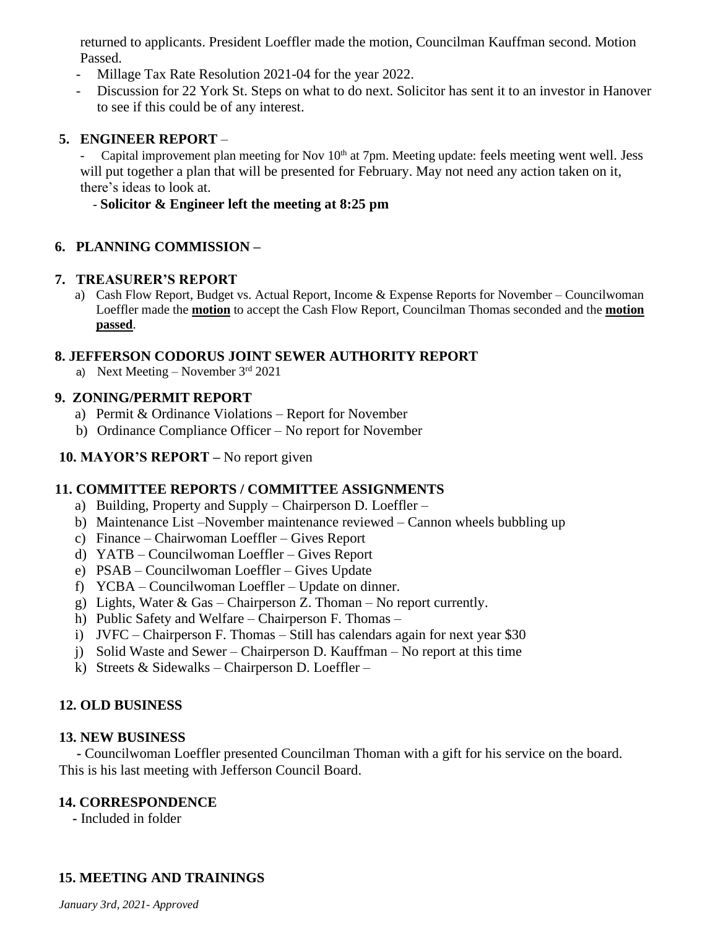returned to applicants. President Loeffler made the motion, Councilman Kauffman second. Motion Passed.

- Millage Tax Rate Resolution 2021-04 for the year 2022.
- Discussion for 22 York St. Steps on what to do next. Solicitor has sent it to an investor in Hanover to see if this could be of any interest.

### **5. ENGINEER REPORT** –

Capital improvement plan meeting for Nov 10<sup>th</sup> at 7pm. Meeting update: feels meeting went well. Jess will put together a plan that will be presented for February. May not need any action taken on it, there's ideas to look at.

#### - **Solicitor & Engineer left the meeting at 8:25 pm**

#### **6. PLANNING COMMISSION –**

#### **7. TREASURER'S REPORT**

a) Cash Flow Report, Budget vs. Actual Report, Income & Expense Reports for November – Councilwoman Loeffler made the **motion** to accept the Cash Flow Report, Councilman Thomas seconded and the **motion passed**.

#### **8. JEFFERSON CODORUS JOINT SEWER AUTHORITY REPORT**

a) Next Meeting – November  $3<sup>rd</sup> 2021$ 

#### **9. ZONING/PERMIT REPORT**

- a) Permit & Ordinance Violations Report for November
- b) Ordinance Compliance Officer No report for November

#### **10. MAYOR'S REPORT –** No report given

### **11. COMMITTEE REPORTS / COMMITTEE ASSIGNMENTS**

- a) Building, Property and Supply Chairperson D. Loeffler –
- b) Maintenance List –November maintenance reviewed Cannon wheels bubbling up
- c) Finance Chairwoman Loeffler Gives Report
- d) YATB Councilwoman Loeffler Gives Report
- e) PSAB Councilwoman Loeffler Gives Update
- f) YCBA Councilwoman Loeffler Update on dinner.
- g) Lights, Water & Gas Chairperson Z. Thoman No report currently.
- h) Public Safety and Welfare Chairperson F. Thomas –
- i) JVFC Chairperson F. Thomas Still has calendars again for next year \$30
- j) Solid Waste and Sewer Chairperson D. Kauffman No report at this time
- k) Streets & Sidewalks Chairperson D. Loeffler –

### **12. OLD BUSINESS**

#### **13. NEW BUSINESS**

 **-** Councilwoman Loeffler presented Councilman Thoman with a gift for his service on the board. This is his last meeting with Jefferson Council Board.

### **14. CORRESPONDENCE**

 **-** Included in folder

### **15. MEETING AND TRAININGS**

*January 3rd, 2021- Approved*